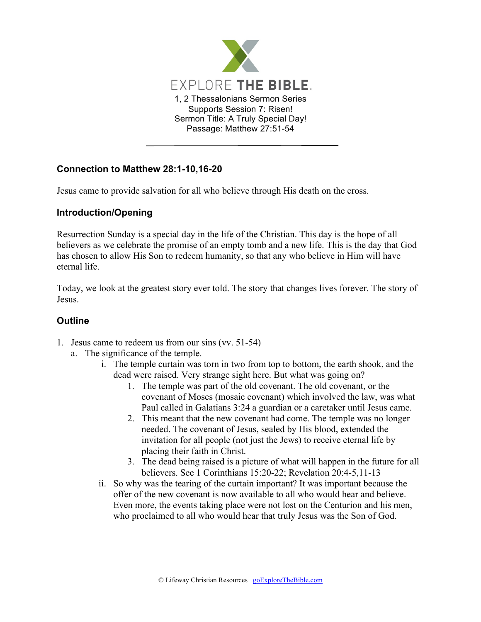

## **Connection to Matthew 28:1-10,16-20**

Jesus came to provide salvation for all who believe through His death on the cross.

## **Introduction/Opening**

Resurrection Sunday is a special day in the life of the Christian. This day is the hope of all believers as we celebrate the promise of an empty tomb and a new life. This is the day that God has chosen to allow His Son to redeem humanity, so that any who believe in Him will have eternal life.

Today, we look at the greatest story ever told. The story that changes lives forever. The story of Jesus.

## **Outline**

- 1. Jesus came to redeem us from our sins (vv. 51-54)
	- a. The significance of the temple.
		- i. The temple curtain was torn in two from top to bottom, the earth shook, and the dead were raised. Very strange sight here. But what was going on?
			- 1. The temple was part of the old covenant. The old covenant, or the covenant of Moses (mosaic covenant) which involved the law, was what Paul called in Galatians 3:24 a guardian or a caretaker until Jesus came.
			- 2. This meant that the new covenant had come. The temple was no longer needed. The covenant of Jesus, sealed by His blood, extended the invitation for all people (not just the Jews) to receive eternal life by placing their faith in Christ.
			- 3. The dead being raised is a picture of what will happen in the future for all believers. See 1 Corinthians 15:20-22; Revelation 20:4-5,11-13
		- ii. So why was the tearing of the curtain important? It was important because the offer of the new covenant is now available to all who would hear and believe. Even more, the events taking place were not lost on the Centurion and his men, who proclaimed to all who would hear that truly Jesus was the Son of God.